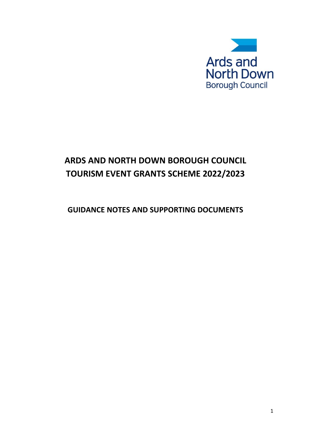

# **ARDS AND NORTH DOWN BOROUGH COUNCIL TOURISM EVENT GRANTS SCHEME 2022/2023**

# **GUIDANCE NOTES AND SUPPORTING DOCUMENTS**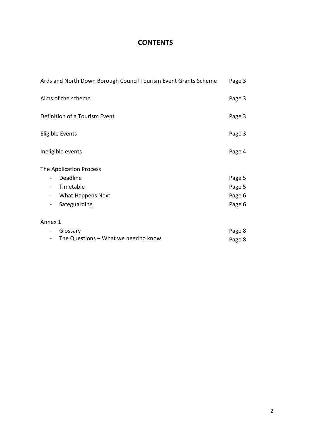# **CONTENTS**

| Ards and North Down Borough Council Tourism Event Grants Scheme                                                                                           | Page 3                     |
|-----------------------------------------------------------------------------------------------------------------------------------------------------------|----------------------------|
| Aims of the scheme                                                                                                                                        | Page 3                     |
| Definition of a Tourism Event                                                                                                                             | Page 3                     |
| <b>Eligible Events</b>                                                                                                                                    | Page 3                     |
| Ineligible events                                                                                                                                         | Page 4                     |
| The Application Process<br>Deadline<br>$\overline{\phantom{0}}$<br>Timetable<br>$\overline{\phantom{a}}$<br>What Happens Next<br>$\overline{\phantom{a}}$ | Page 5<br>Page 5<br>Page 6 |
| Safeguarding<br>$\overline{\phantom{a}}$                                                                                                                  | Page 6                     |
| Annex 1                                                                                                                                                   |                            |
| Glossary<br>$\overline{\phantom{a}}$<br>The Questions - What we need to know                                                                              | Page 8<br>Page 8           |
|                                                                                                                                                           |                            |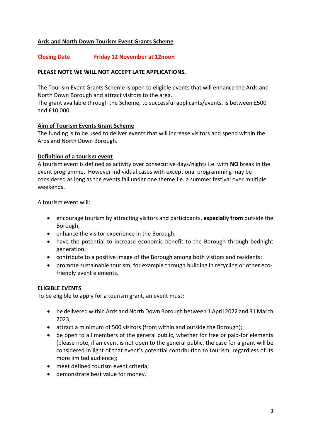# **Ards and North Down Tourism Event Grants Scheme**

#### **Closing Date Friday 12 November at 12noon**

#### **PLEASE NOTE WE WILL NOT ACCEPT LATE APPLICATIONS.**

The Tourism Event Grants Scheme is open to eligible events that will enhance the Ards and North Down Borough and attract visitors to the area.

The grant available through the Scheme, to successful applicants/events, is between £500 and £10,000.

#### **Aim of Tourism Events Grant Scheme**

The funding is to be used to deliver events that will increase visitors and spend within the Ards and North Down Borough.

#### **Definition of a tourism event**

A tourism event is defined as activity over consecutive days/nights i.e. with **NO** break in the event programme. However individual cases with exceptional programming may be considered as long as the events fall under one theme i.e. a summer festival over multiple weekends.

A tourism event will:

- encourage tourism by attracting visitors and participants, **especially from** outside the Borough;
- enhance the visitor experience in the Borough;
- have the potential to increase economic benefit to the Borough through bednight generation;
- contribute to a positive image of the Borough among both visitors and residents;
- promote sustainable tourism, for example through building in recycling or other ecofriendly event elements.

#### **ELIGIBLE EVENTS**

To be eligible to apply for a tourism grant, an event must**:**

- be delivered within Ards and North Down Borough between 1 April 2022 and 31 March 2023;
- attract a minimum of 500 visitors (from within and outside the Borough);
- be open to all members of the general public, whether for free or paid-for elements (please note, if an event is not open to the general public, the case for a grant will be considered in light of that event's potential contribution to tourism, regardless of its more limited audience);
- meet defined tourism event criteria;
- demonstrate best value for money.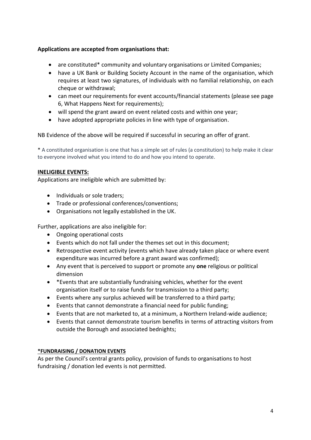# **Applications are accepted from organisations that:**

- are constituted\* community and voluntary organisations or Limited Companies;
- have a UK Bank or Building Society Account in the name of the organisation, which requires at least two signatures, of individuals with no familial relationship, on each cheque or withdrawal;
- can meet our requirements for event accounts/financial statements (please see page 6, What Happens Next for requirements);
- will spend the grant award on event related costs and within one year;
- have adopted appropriate policies in line with type of organisation.

NB Evidence of the above will be required if successful in securing an offer of grant.

\* A constituted organisation is one that has a simple set of rules (a constitution) to help make it clear to everyone involved what you intend to do and how you intend to operate.

# **INELIGIBLE EVENTS:**

Applications are ineligible which are submitted by:

- Individuals or sole traders;
- Trade or professional conferences/conventions;
- Organisations not legally established in the UK.

Further, applications are also ineligible for:

- Ongoing operational costs
- Events which do not fall under the themes set out in this document;
- Retrospective event activity (events which have already taken place or where event expenditure was incurred before a grant award was confirmed);
- Any event that is perceived to support or promote any **one** religious or political dimension
- \*Events that are substantially fundraising vehicles, whether for the event organisation itself or to raise funds for transmission to a third party;
- Events where any surplus achieved will be transferred to a third party;
- Events that cannot demonstrate a financial need for public funding;
- Events that are not marketed to, at a minimum, a Northern Ireland-wide audience;
- Events that cannot demonstrate tourism benefits in terms of attracting visitors from outside the Borough and associated bednights;

# **\*FUNDRAISING / DONATION EVENTS**

As per the Council's central grants policy, provision of funds to organisations to host fundraising / donation led events is not permitted.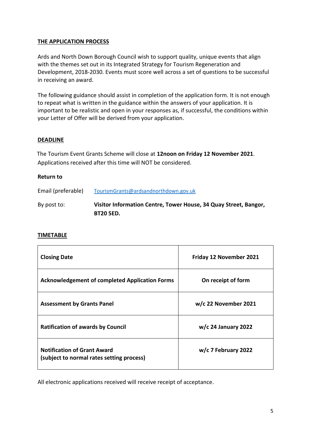## **THE APPLICATION PROCESS**

Ards and North Down Borough Council wish to support quality, unique events that align with the themes set out in its Integrated Strategy for Tourism Regeneration and Development, 2018-2030. Events must score well across a set of questions to be successful in receiving an award.

The following guidance should assist in completion of the application form. It is not enough to repeat what is written in the guidance within the answers of your application. It is important to be realistic and open in your responses as, if successful, the conditions within your Letter of Offer will be derived from your application.

#### **DEADLINE**

The Tourism Event Grants Scheme will close at **12noon on Friday 12 November 2021**. Applications received after this time will NOT be considered.

#### **Return to**

| Email (preferable) | TourismGrants@ardsandnorthdown.gov.uk                            |
|--------------------|------------------------------------------------------------------|
| By post to:        | Visitor Information Centre, Tower House, 34 Quay Street, Bangor, |
|                    | <b>BT20 5ED.</b>                                                 |

#### **TIMETABLE**

| <b>Closing Date</b>                                                             | Friday 12 November 2021 |
|---------------------------------------------------------------------------------|-------------------------|
| <b>Acknowledgement of completed Application Forms</b>                           | On receipt of form      |
| <b>Assessment by Grants Panel</b>                                               | $w/c$ 22 November 2021  |
| <b>Ratification of awards by Council</b>                                        | $w/c$ 24 January 2022   |
| <b>Notification of Grant Award</b><br>(subject to normal rates setting process) | $w/c$ 7 February 2022   |

All electronic applications received will receive receipt of acceptance.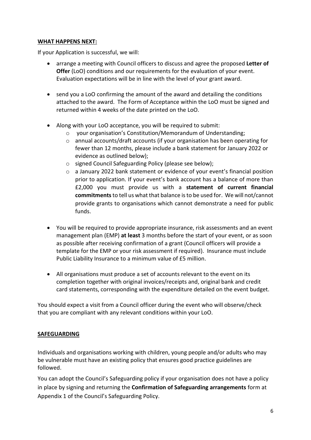# **WHAT HAPPENS NEXT:**

If your Application is successful, we will:

- arrange a meeting with Council officers to discuss and agree the proposed **Letter of Offer** (LoO) conditions and our requirements for the evaluation of your event. Evaluation expectations will be in line with the level of your grant award.
- send you a LoO confirming the amount of the award and detailing the conditions attached to the award. The Form of Acceptance within the LoO must be signed and returned within 4 weeks of the date printed on the LoO.
- Along with your LoO acceptance, you will be required to submit:
	- your organisation's Constitution/Memorandum of Understanding;
	- $\circ$  annual accounts/draft accounts (if your organisation has been operating for fewer than 12 months, please include a bank statement for January 2022 or evidence as outlined below);
	- o signed Council Safeguarding Policy (please see below);
	- $\circ$  a January 2022 bank statement or evidence of your event's financial position prior to application. If your event's bank account has a balance of more than £2,000 you must provide us with a **statement of current financial commitments**to tell us what that balance is to be used for. We will not/cannot provide grants to organisations which cannot demonstrate a need for public funds.
- You will be required to provide appropriate insurance, risk assessments and an event management plan (EMP) **at least** 3 months before the start of your event, or as soon as possible after receiving confirmation of a grant (Council officers will provide a template for the EMP or your risk assessment if required). Insurance must include Public Liability Insurance to a minimum value of £5 million.
- All organisations must produce a set of accounts relevant to the event on its completion together with original invoices/receipts and, original bank and credit card statements, corresponding with the expenditure detailed on the event budget.

You should expect a visit from a Council officer during the event who will observe/check that you are compliant with any relevant conditions within your LoO.

# **SAFEGUARDING**

Individuals and organisations working with children, young people and/or adults who may be vulnerable must have an existing policy that ensures good practice guidelines are followed.

You can adopt the Council's Safeguarding policy if your organisation does not have a policy in place by signing and returning the **Confirmation of Safeguarding arrangements** form at Appendix 1 of the Council's Safeguarding Policy.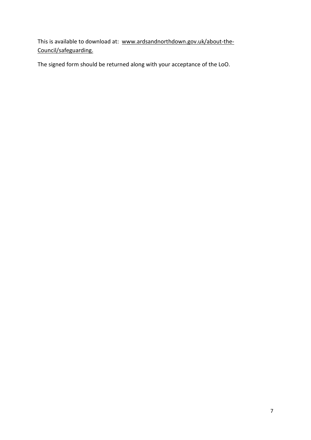This is available to download at: [www.ardsandnorthdown.gov.uk/about-the-](http://www.ardsandnorthdown.gov.uk/about-the-council/safeguarding)[Council/safeguarding.](http://www.ardsandnorthdown.gov.uk/about-the-council/safeguarding)

The signed form should be returned along with your acceptance of the LoO.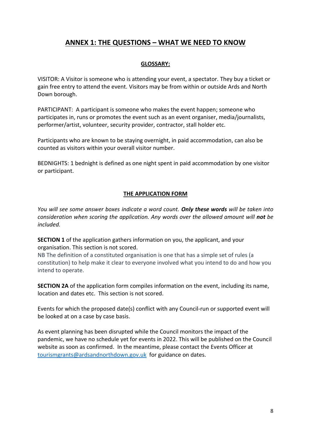# **ANNEX 1: THE QUESTIONS – WHAT WE NEED TO KNOW**

# **GLOSSARY:**

VISITOR: A Visitor is someone who is attending your event, a spectator. They buy a ticket or gain free entry to attend the event. Visitors may be from within or outside Ards and North Down borough.

PARTICIPANT: A participant is someone who makes the event happen; someone who participates in, runs or promotes the event such as an event organiser, media/journalists, performer/artist, volunteer, security provider, contractor, stall holder etc.

Participants who are known to be staying overnight, in paid accommodation, can also be counted as visitors within your overall visitor number.

BEDNIGHTS: 1 bednight is defined as one night spent in paid accommodation by one visitor or participant.

#### **THE APPLICATION FORM**

*You will see some answer boxes indicate a word count. Only these words will be taken into consideration when scoring the application. Any words over the allowed amount will not be included.* 

**SECTION 1** of the application gathers information on you, the applicant, and your organisation. This section is not scored.

NB The definition of a constituted organisation is one that has a simple set of rules (a constitution) to help make it clear to everyone involved what you intend to do and how you intend to operate.

**SECTION 2A** of the application form compiles information on the event, including its name, location and dates etc. This section is not scored.

Events for which the proposed date(s) conflict with any Council-run or supported event will be looked at on a case by case basis.

As event planning has been disrupted while the Council monitors the impact of the pandemic, we have no schedule yet for events in 2022. This will be published on the Council website as soon as confirmed. In the meantime, please contact the Events Officer at [tourismgrants@ardsandnorthdown.gov.uk](mailto:tourismgrants@ardsandnorthdown.gov.uk) for guidance on dates.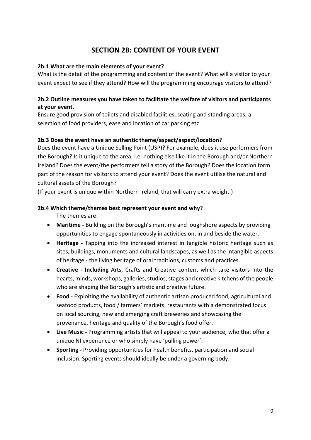# **SECTION 2B: CONTENT OF YOUR EVENT**

## **2b.1 What are the main elements of your event?**

What is the detail of the programming and content of the event? What will a visitor to your event expect to see if they attend? How will the programming encourage visitors to attend?

# **2b.2 Outline measures you have taken to facilitate the welfare of visitors and participants at your event.**

Ensure good provision of toilets and disabled facilities, seating and standing areas, a selection of food providers, ease and location of car parking etc.

# **2b.3 Does the event have an authentic theme/aspect/aspect/location?**

Does the event have a Unique Selling Point (USP)? For example, does it use performers from the Borough? Is it unique to the area, i.e. nothing else like it in the Borough and/or Northern Ireland? Does the event/the performers tell a story of the Borough? Does the location form part of the reason for visitors to attend your event? Does the event utilise the natural and cultural assets of the Borough?

(If your event is unique within Northern Ireland, that will carry extra weight.)

#### **2b.4 Which theme/themes best represent your event and why?**

The themes are:

- **Maritime -** Building on the Borough's maritime and loughshore aspects by providing opportunities to engage spontaneously in activities on, in and beside the water.
- **Heritage -** Tapping into the increased interest in tangible historic heritage such as sites, buildings, monuments and cultural landscapes, as well as the intangible aspects of heritage - the living heritage of oral traditions, customs and practices.
- **Creative - Including** Arts, Crafts and Creative content which take visitors into the hearts, minds, workshops, galleries, studios, stages and creative kitchens of the people who are shaping the Borough's artistic and creative future.
- **Food -** Exploiting the availability of authentic artisan produced food, agricultural and seafood products, food / farmers' markets, restaurants with a demonstrated focus on local sourcing, new and emerging craft breweries and showcasing the provenance, heritage and quality of the Borough's food offer.
- **Live Music -** Programming artists that will appeal to your audience, who that offer a unique NI experience or who simply have 'pulling power'.
- **Sporting -** Providing opportunities for health benefits, participation and social inclusion. Sporting events should ideally be under a governing body.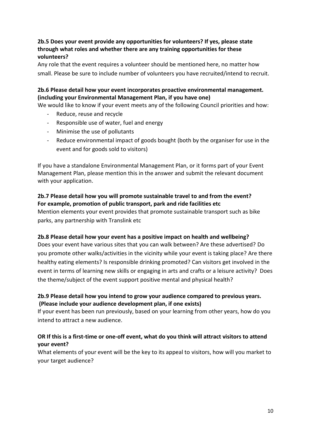# **2b.5 Does your event provide any opportunities for volunteers? If yes, please state through what roles and whether there are any training opportunities for these volunteers?**

Any role that the event requires a volunteer should be mentioned here, no matter how small. Please be sure to include number of volunteers you have recruited/intend to recruit.

# **2b.6 Please detail how your event incorporates proactive environmental management. (including your Environmental Management Plan, if you have one)**

We would like to know if your event meets any of the following Council priorities and how:

- Reduce, reuse and recycle
- Responsible use of water, fuel and energy
- Minimise the use of pollutants
- Reduce environmental impact of goods bought (both by the organiser for use in the event and for goods sold to visitors)

If you have a standalone Environmental Management Plan, or it forms part of your Event Management Plan, please mention this in the answer and submit the relevant document with your application.

## **2b.7 Please detail how you will promote sustainable travel to and from the event? For example, promotion of public transport, park and ride facilities etc**

Mention elements your event provides that promote sustainable transport such as bike parks, any partnership with Translink etc

# **2b.8 Please detail how your event has a positive impact on health and wellbeing?**

Does your event have various sites that you can walk between? Are these advertised? Do you promote other walks/activities in the vicinity while your event is taking place? Are there healthy eating elements? Is responsible drinking promoted? Can visitors get involved in the event in terms of learning new skills or engaging in arts and crafts or a leisure activity? Does the theme/subject of the event support positive mental and physical health?

# **2b.9 Please detail how you intend to grow your audience compared to previous years. (Please include your audience development plan, if one exists)**

If your event has been run previously, based on your learning from other years, how do you intend to attract a new audience.

# **OR If this is a first-time or one-off event, what do you think will attract visitors to attend your event?**

What elements of your event will be the key to its appeal to visitors, how will you market to your target audience?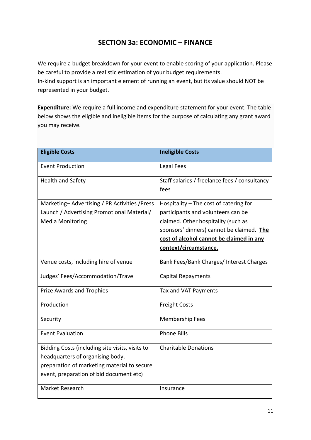# **SECTION 3a: ECONOMIC – FINANCE**

We require a budget breakdown for your event to enable scoring of your application. Please be careful to provide a realistic estimation of your budget requirements.

In-kind support is an important element of running an event, but its value should NOT be represented in your budget.

**Expenditure:** We require a full income and expenditure statement for your event. The table below shows the eligible and ineligible items for the purpose of calculating any grant award you may receive.

| <b>Eligible Costs</b>                           | <b>Ineligible Costs</b>                               |
|-------------------------------------------------|-------------------------------------------------------|
| <b>Event Production</b>                         | Legal Fees                                            |
| <b>Health and Safety</b>                        | Staff salaries / freelance fees / consultancy<br>fees |
| Marketing-Advertising / PR Activities / Press   | Hospitality - The cost of catering for                |
| Launch / Advertising Promotional Material/      | participants and volunteers can be                    |
| <b>Media Monitoring</b>                         | claimed. Other hospitality (such as                   |
|                                                 | sponsors' dinners) cannot be claimed. The             |
|                                                 | cost of alcohol cannot be claimed in any              |
|                                                 | context/circumstance.                                 |
| Venue costs, including hire of venue            | Bank Fees/Bank Charges/ Interest Charges              |
| Judges' Fees/Accommodation/Travel               | <b>Capital Repayments</b>                             |
| <b>Prize Awards and Trophies</b>                | Tax and VAT Payments                                  |
| Production                                      | <b>Freight Costs</b>                                  |
| Security                                        | <b>Membership Fees</b>                                |
| <b>Event Evaluation</b>                         | <b>Phone Bills</b>                                    |
| Bidding Costs (including site visits, visits to | <b>Charitable Donations</b>                           |
| headquarters of organising body,                |                                                       |
| preparation of marketing material to secure     |                                                       |
| event, preparation of bid document etc)         |                                                       |
| Market Research                                 | Insurance                                             |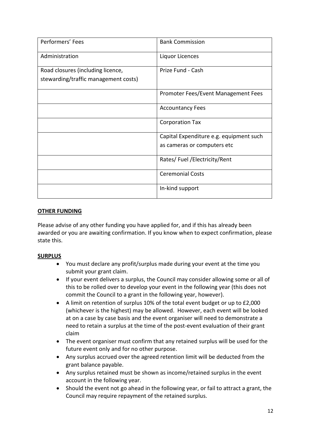| Performers' Fees                     | <b>Bank Commission</b>                  |
|--------------------------------------|-----------------------------------------|
| Administration                       | Liquor Licences                         |
| Road closures (including licence,    | Prize Fund - Cash                       |
| stewarding/traffic management costs) |                                         |
|                                      | Promoter Fees/Event Management Fees     |
|                                      | <b>Accountancy Fees</b>                 |
|                                      | <b>Corporation Tax</b>                  |
|                                      | Capital Expenditure e.g. equipment such |
|                                      | as cameras or computers etc             |
|                                      | Rates/Fuel/Electricity/Rent             |
|                                      | <b>Ceremonial Costs</b>                 |
|                                      | In-kind support                         |

# **OTHER FUNDING**

Please advise of any other funding you have applied for, and if this has already been awarded or you are awaiting confirmation. If you know when to expect confirmation, please state this.

# **SURPLUS**

- You must declare any profit/surplus made during your event at the time you submit your grant claim.
- If your event delivers a surplus, the Council may consider allowing some or all of this to be rolled over to develop your event in the following year (this does not commit the Council to a grant in the following year, however).
- A limit on retention of surplus 10% of the total event budget or up to £2,000 (whichever is the highest) may be allowed. However, each event will be looked at on a case by case basis and the event organiser will need to demonstrate a need to retain a surplus at the time of the post-event evaluation of their grant claim
- The event organiser must confirm that any retained surplus will be used for the future event only and for no other purpose.
- Any surplus accrued over the agreed retention limit will be deducted from the grant balance payable.
- Any surplus retained must be shown as income/retained surplus in the event account in the following year.
- Should the event not go ahead in the following year, or fail to attract a grant, the Council may require repayment of the retained surplus.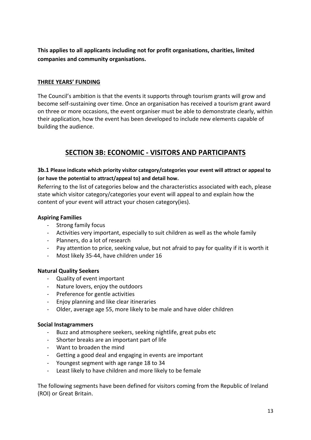**This applies to all applicants including not for profit organisations, charities, limited companies and community organisations.**

## **THREE YEARS' FUNDING**

The Council's ambition is that the events it supports through tourism grants will grow and become self-sustaining over time. Once an organisation has received a tourism grant award on three or more occasions, the event organiser must be able to demonstrate clearly, within their application, how the event has been developed to include new elements capable of building the audience.

# **SECTION 3B: ECONOMIC - VISITORS AND PARTICIPANTS**

# **3b.1 Please indicate which priority visitor category/categories your event will attract or appeal to (or have the potential to attract/appeal to) and detail how.**

Referring to the list of categories below and the characteristics associated with each, please state which visitor category/categories your event will appeal to and explain how the content of your event will attract your chosen category(ies).

## **Aspiring Families**

- Strong family focus
- Activities very important, especially to suit children as well as the whole family
- Planners, do a lot of research
- Pay attention to price, seeking value, but not afraid to pay for quality if it is worth it
- Most likely 35-44, have children under 16

#### **Natural Quality Seekers**

- Quality of event important
- Nature lovers, enjoy the outdoors
- Preference for gentle activities
- Enjoy planning and like clear itineraries
- Older, average age 55, more likely to be male and have older children

#### **Social Instagrammers**

- Buzz and atmosphere seekers, seeking nightlife, great pubs etc
- Shorter breaks are an important part of life
- Want to broaden the mind
- Getting a good deal and engaging in events are important
- Youngest segment with age range 18 to 34
- Least likely to have children and more likely to be female

The following segments have been defined for visitors coming from the Republic of Ireland (ROI) or Great Britain.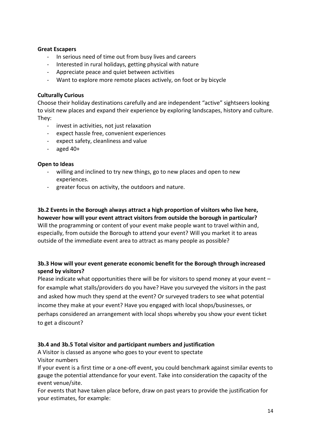#### **Great Escapers**

- In serious need of time out from busy lives and careers
- Interested in rural holidays, getting physical with nature
- Appreciate peace and quiet between activities
- Want to explore more remote places actively, on foot or by bicycle

#### **Culturally Curious**

Choose their holiday destinations carefully and are independent "active" sightseers looking to visit new places and expand their experience by exploring landscapes, history and culture. They:

- invest in activities, not just relaxation
- expect hassle free, convenient experiences
- expect safety, cleanliness and value
- aged  $40+$

#### **Open to Ideas**

- willing and inclined to try new things, go to new places and open to new experiences.
- greater focus on activity, the outdoors and nature.

**3b.2 Events in the Borough always attract a high proportion of visitors who live here, however how will your event attract visitors from outside the borough in particular?**  Will the programming or content of your event make people want to travel within and, especially, from outside the Borough to attend your event? Will you market it to areas outside of the immediate event area to attract as many people as possible?

# **3b.3 How will your event generate economic benefit for the Borough through increased spend by visitors?**

Please indicate what opportunities there will be for visitors to spend money at your event – for example what stalls/providers do you have? Have you surveyed the visitors in the past and asked how much they spend at the event? Or surveyed traders to see what potential income they make at your event? Have you engaged with local shops/businesses, or perhaps considered an arrangement with local shops whereby you show your event ticket to get a discount?

#### **3b.4 and 3b.5 Total visitor and participant numbers and justification**

A Visitor is classed as anyone who goes to your event to spectate Visitor numbers

If your event is a first time or a one-off event, you could benchmark against similar events to gauge the potential attendance for your event. Take into consideration the capacity of the event venue/site.

For events that have taken place before, draw on past years to provide the justification for your estimates, for example: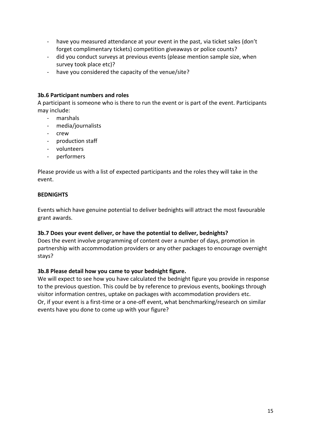- have you measured attendance at your event in the past, via ticket sales (don't forget complimentary tickets) competition giveaways or police counts?
- did you conduct surveys at previous events (please mention sample size, when survey took place etc)?
- have you considered the capacity of the venue/site?

#### **3b.6 Participant numbers and roles**

A participant is someone who is there to run the event or is part of the event. Participants may include:

- marshals
- media/journalists
- crew
- production staff
- volunteers
- performers

Please provide us with a list of expected participants and the roles they will take in the event.

#### **BEDNIGHTS**

Events which have genuine potential to deliver bednights will attract the most favourable grant awards.

#### **3b.7 Does your event deliver, or have the potential to deliver, bednights?**

Does the event involve programming of content over a number of days, promotion in partnership with accommodation providers or any other packages to encourage overnight stays?

#### **3b.8 Please detail how you came to your bednight figure.**

We will expect to see how you have calculated the bednight figure you provide in response to the previous question. This could be by reference to previous events, bookings through visitor information centres, uptake on packages with accommodation providers etc. Or, if your event is a first-time or a one-off event, what benchmarking/research on similar events have you done to come up with your figure?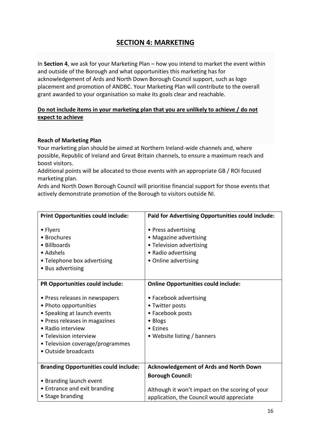# **SECTION 4: MARKETING**

In **Section 4**, we ask for your Marketing Plan – how you intend to market the event within and outside of the Borough and what opportunities this marketing has for acknowledgement of Ards and North Down Borough Council support, such as logo placement and promotion of ANDBC. Your Marketing Plan will contribute to the overall grant awarded to your organisation so make its goals clear and reachable.

# **Do not include items in your marketing plan that you are unlikely to achieve / do not expect to achieve**

#### **Reach of Marketing Plan**

Your marketing plan should be aimed at Northern Ireland-wide channels and, where possible, Republic of Ireland and Great Britain channels, to ensure a maximum reach and boost visitors.

Additional points will be allocated to those events with an appropriate GB / ROI focused marketing plan.

Ards and North Down Borough Council will prioritise financial support for those events that actively demonstrate promotion of the Borough to visitors outside NI.

| <b>Print Opportunities could include:</b>                                                                                                                                                                                          | Paid for Advertising Opportunities could include:                                                                        |
|------------------------------------------------------------------------------------------------------------------------------------------------------------------------------------------------------------------------------------|--------------------------------------------------------------------------------------------------------------------------|
| • Flyers<br>• Brochures<br>• Billboards<br>• Adshels<br>• Telephone box advertising<br>• Bus advertising                                                                                                                           | • Press advertising<br>• Magazine advertising<br>• Television advertising<br>• Radio advertising<br>• Online advertising |
| PR Opportunities could include:                                                                                                                                                                                                    | <b>Online Opportunities could include:</b>                                                                               |
| • Press releases in newspapers<br>• Photo opportunities<br>• Speaking at launch events<br>• Press releases in magazines<br>• Radio interview<br>• Television interview<br>• Television coverage/programmes<br>• Outside broadcasts | • Facebook advertising<br>• Twitter posts<br>• Facebook posts<br>• Blogs<br>• Ezines<br>• Website listing / banners      |
| <b>Branding Opportunities could include:</b>                                                                                                                                                                                       | <b>Acknowledgement of Ards and North Down</b>                                                                            |
| • Branding launch event<br>• Entrance and exit branding<br>• Stage branding                                                                                                                                                        | <b>Borough Council:</b><br>Although it won't impact on the scoring of your<br>application, the Council would appreciate  |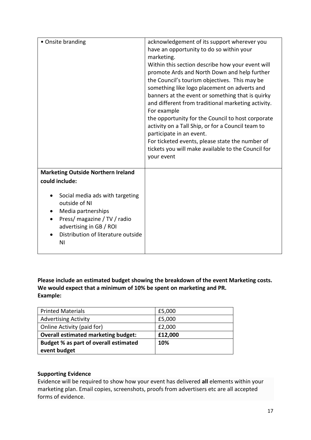| • Onsite branding                                                                                                                                                             | acknowledgement of its support wherever you<br>have an opportunity to do so within your<br>marketing.<br>Within this section describe how your event will<br>promote Ards and North Down and help further<br>the Council's tourism objectives. This may be<br>something like logo placement on adverts and<br>banners at the event or something that is quirky<br>and different from traditional marketing activity.<br>For example<br>the opportunity for the Council to host corporate<br>activity on a Tall Ship, or for a Council team to<br>participate in an event.<br>For ticketed events, please state the number of<br>tickets you will make available to the Council for<br>your event |
|-------------------------------------------------------------------------------------------------------------------------------------------------------------------------------|--------------------------------------------------------------------------------------------------------------------------------------------------------------------------------------------------------------------------------------------------------------------------------------------------------------------------------------------------------------------------------------------------------------------------------------------------------------------------------------------------------------------------------------------------------------------------------------------------------------------------------------------------------------------------------------------------|
| <b>Marketing Outside Northern Ireland</b>                                                                                                                                     |                                                                                                                                                                                                                                                                                                                                                                                                                                                                                                                                                                                                                                                                                                  |
| could include:                                                                                                                                                                |                                                                                                                                                                                                                                                                                                                                                                                                                                                                                                                                                                                                                                                                                                  |
| Social media ads with targeting<br>outside of NI<br>Media partnerships<br>Press/ magazine / TV / radio<br>advertising in GB / ROI<br>Distribution of literature outside<br>ΝI |                                                                                                                                                                                                                                                                                                                                                                                                                                                                                                                                                                                                                                                                                                  |

**Please include an estimated budget showing the breakdown of the event Marketing costs. We would expect that a minimum of 10% be spent on marketing and PR. Example:**

| <b>Printed Materials</b>                   | £5,000  |
|--------------------------------------------|---------|
| <b>Advertising Activity</b>                | £5,000  |
| Online Activity (paid for)                 | £2,000  |
| <b>Overall estimated marketing budget:</b> | £12,000 |
| Budget % as part of overall estimated      | 10%     |
| event budget                               |         |

#### **Supporting Evidence**

Evidence will be required to show how your event has delivered **all** elements within your marketing plan. Email copies, screenshots, proofs from advertisers etc are all accepted forms of evidence.